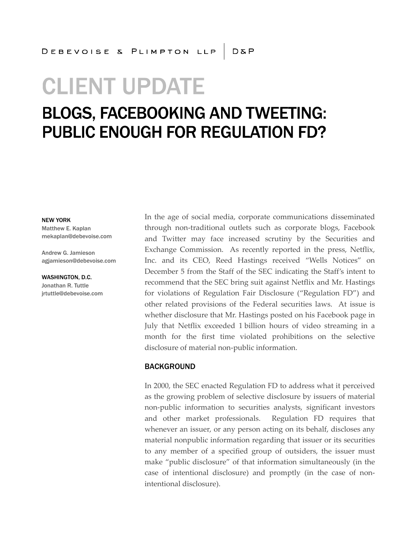# **CLIENT UPDATE**

## **BLOGS, FACEBOOKING AND TWEETING: PUBLIC ENOUGH FOR REGULATION FD?**

NEW YORK

Matthew E. Kaplan mekaplan@debevoise.com

Andrew G. Jamieson agjamieson@debevoise.com

WASHINGTON, D.C. Jonathan R. Tuttle jrtuttle@debevoise.com In the age of social media, corporate communications disseminated through non-traditional outlets such as corporate blogs, Facebook and Twitter may face increased scrutiny by the Securities and Exchange Commission. As recently reported in the press, Netflix, Inc. and its CEO, Reed Hastings received "Wells Notices" on December 5 from the Staff of the SEC indicating the Staff's intent to recommend that the SEC bring suit against Netflix and Mr. Hastings for violations of Regulation Fair Disclosure ("Regulation FD") and other related provisions of the Federal securities laws. At issue is whether disclosure that Mr. Hastings posted on his Facebook page in July that Netflix exceeded 1 billion hours of video streaming in a month for the first time violated prohibitions on the selective disclosure of material non-public information.

#### BACKGROUND

In 2000, the SEC enacted Regulation FD to address what it perceived as the growing problem of selective disclosure by issuers of material non-public information to securities analysts, significant investors and other market professionals. Regulation FD requires that whenever an issuer, or any person acting on its behalf, discloses any material nonpublic information regarding that issuer or its securities to any member of a specified group of outsiders, the issuer must make "public disclosure" of that information simultaneously (in the case of intentional disclosure) and promptly (in the case of nonintentional disclosure).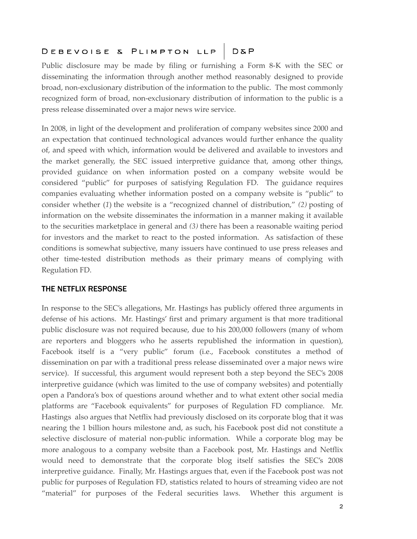### DEBEVOISE & PLIMPTON LLP D&P

Public disclosure may be made by filing or furnishing a Form 8-K with the SEC or disseminating the information through another method reasonably designed to provide broad, non-exclusionary distribution of the information to the public. The most commonly recognized form of broad, non-exclusionary distribution of information to the public is a press release disseminated over a major news wire service.

In 2008, in light of the development and proliferation of company websites since 2000 and an expectation that continued technological advances would further enhance the quality of, and speed with which, information would be delivered and available to investors and the market generally, the SEC issued interpretive guidance that, among other things, provided guidance on when information posted on a company website would be considered "public" for purposes of satisfying Regulation FD. The guidance requires companies evaluating whether information posted on a company website is "public" to consider whether (*1*) the website is a "recognized channel of distribution," *(2)* posting of information on the website disseminates the information in a manner making it available to the securities marketplace in general and *(3)* there has been a reasonable waiting period for investors and the market to react to the posted information. As satisfaction of these conditions is somewhat subjective, many issuers have continued to use press releases and other time-tested distribution methods as their primary means of complying with Regulation FD.

#### THE NETFLIX RESPONSE

In response to the SEC's allegations, Mr. Hastings has publicly offered three arguments in defense of his actions. Mr. Hastings' first and primary argument is that more traditional public disclosure was not required because, due to his 200,000 followers (many of whom are reporters and bloggers who he asserts republished the information in question), Facebook itself is a "very public" forum (i.e., Facebook constitutes a method of dissemination on par with a traditional press release disseminated over a major news wire service). If successful, this argument would represent both a step beyond the SEC's 2008 interpretive guidance (which was limited to the use of company websites) and potentially open a Pandora's box of questions around whether and to what extent other social media platforms are "Facebook equivalents" for purposes of Regulation FD compliance. Mr. Hastings also argues that Netflix had previously disclosed on its corporate blog that it was nearing the 1 billion hours milestone and, as such, his Facebook post did not constitute a selective disclosure of material non-public information. While a corporate blog may be more analogous to a company website than a Facebook post, Mr. Hastings and Netflix would need to demonstrate that the corporate blog itself satisfies the SEC's 2008 interpretive guidance. Finally, Mr. Hastings argues that, even if the Facebook post was not public for purposes of Regulation FD, statistics related to hours of streaming video are not "material" for purposes of the Federal securities laws. Whether this argument is